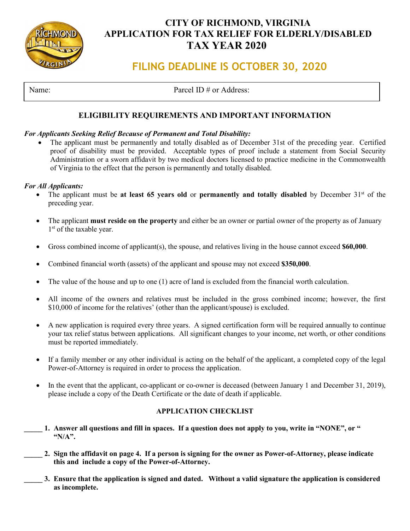

## **CITY OF RICHMOND, VIRGINIA APPLICATION FOR TAX RELIEF FOR ELDERLY/DISABLED TAX YEAR 2020**

# **FILING DEADLINE IS OCTOBER 30, 2020**

Name: Parcel ID # or Address:

### **ELIGIBILITY REQUIREMENTS AND IMPORTANT INFORMATION**

### *For Applicants Seeking Relief Because of Permanent and Total Disability:*

The applicant must be permanently and totally disabled as of December 31st of the preceding year. Certified proof of disability must be provided. Acceptable types of proof include a statement from Social Security Administration or a sworn affidavit by two medical doctors licensed to practice medicine in the Commonwealth of Virginia to the effect that the person is permanently and totally disabled.

#### *For All Applicants:*

- The applicant must be at least 65 years old or permanently and totally disabled by December 31<sup>st</sup> of the preceding year.
- The applicant **must reside on the property** and either be an owner or partial owner of the property as of January 1<sup>st</sup> of the taxable year.
- Gross combined income of applicant(s), the spouse, and relatives living in the house cannot exceed **\$60,000**.
- Combined financial worth (assets) of the applicant and spouse may not exceed **\$350,000**.
- The value of the house and up to one (1) acre of land is excluded from the financial worth calculation.
- All income of the owners and relatives must be included in the gross combined income; however, the first \$10,000 of income for the relatives' (other than the applicant/spouse) is excluded.
- A new application is required every three years. A signed certification form will be required annually to continue your tax relief status between applications. All significant changes to your income, net worth, or other conditions must be reported immediately.
- If a family member or any other individual is acting on the behalf of the applicant, a completed copy of the legal Power-of-Attorney is required in order to process the application.
- In the event that the applicant, co-applicant or co-owner is deceased (between January 1 and December 31, 2019), please include a copy of the Death Certificate or the date of death if applicable.

### **APPLICATION CHECKLIST**

- 1. Answer all questions and fill in spaces. If a question does not apply to you, write in "NONE", or "  **"N/A".**
- **\_\_\_\_\_ 2. Sign the affidavit on page 4. If a person is signing for the owner as Power-of-Attorney, please indicate this and include a copy of the Power-of-Attorney.**
	- **\_\_\_\_\_ 3. Ensure that the application is signed and dated. Without a valid signature the application is considered as incomplete.**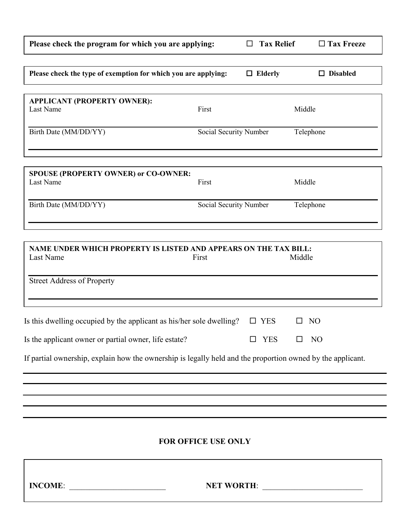| Please check the program for which you are applying:                                                       |                        | <b>Tax Relief</b><br>$\Box$ |         | $\Box$ Tax Freeze |  |
|------------------------------------------------------------------------------------------------------------|------------------------|-----------------------------|---------|-------------------|--|
| Please check the type of exemption for which you are applying:                                             |                        | $\Box$ Elderly              |         | $\Box$ Disabled   |  |
| <b>APPLICANT (PROPERTY OWNER):</b><br>Last Name                                                            | First                  |                             | Middle  |                   |  |
| Birth Date (MM/DD/YY)                                                                                      | Social Security Number |                             |         | Telephone         |  |
| <b>SPOUSE (PROPERTY OWNER) or CO-OWNER:</b><br>Last Name                                                   | First                  |                             | Middle  |                   |  |
| Birth Date (MM/DD/YY)                                                                                      | Social Security Number |                             |         | Telephone         |  |
| NAME UNDER WHICH PROPERTY IS LISTED AND APPEARS ON THE TAX BILL:<br>Last Name                              | First                  |                             | Middle  |                   |  |
| <b>Street Address of Property</b>                                                                          |                        |                             |         |                   |  |
| Is this dwelling occupied by the applicant as his/her sole dwelling?                                       |                        | $\square$ YES               | $\perp$ | NO                |  |
| Is the applicant owner or partial owner, life estate?                                                      |                        | <b>YES</b>                  | П       | N <sub>O</sub>    |  |
| If partial ownership, explain how the ownership is legally held and the proportion owned by the applicant. |                        |                             |         |                   |  |
|                                                                                                            |                        |                             |         |                   |  |
|                                                                                                            |                        |                             |         |                   |  |

### **FOR OFFICE USE ONLY**

**INCOME**: \_\_\_\_\_\_\_\_\_\_\_\_\_\_\_\_\_\_\_\_\_\_\_\_ **NET WORTH**: \_\_\_\_\_\_\_\_\_\_\_\_\_\_\_\_\_\_\_\_\_\_\_\_\_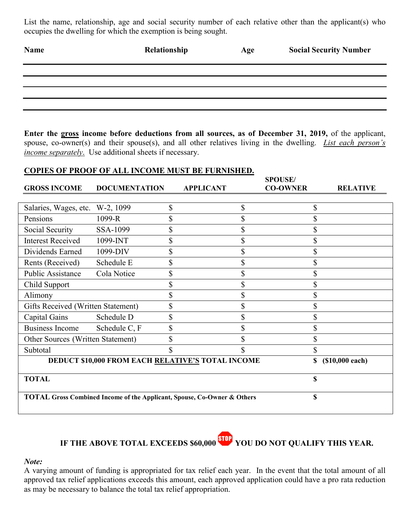List the name, relationship, age and social security number of each relative other than the applicant(s) who occupies the dwelling for which the exemption is being sought.

| Name | Relationship | Age | <b>Social Security Number</b> |
|------|--------------|-----|-------------------------------|
|      |              |     |                               |
|      |              |     |                               |
|      |              |     |                               |
|      |              |     |                               |
|      |              |     |                               |

**Enter the gross income before deductions from all sources, as of December 31, 2019,** of the applicant, spouse, co-owner(s) and their spouse(s), and all other relatives living in the dwelling. *List each person's income separately*. Use additional sheets if necessary.

### **COPIES OF PROOF OF ALL INCOME MUST BE FURNISHED.**

|                                                                                    |                      |    |                                                   | <b>SPOUSE/</b>  |                 |
|------------------------------------------------------------------------------------|----------------------|----|---------------------------------------------------|-----------------|-----------------|
| <b>GROSS INCOME</b>                                                                | <b>DOCUMENTATION</b> |    | <b>APPLICANT</b>                                  | <b>CO-OWNER</b> | <b>RELATIVE</b> |
|                                                                                    |                      |    |                                                   |                 |                 |
| Salaries, Wages, etc.                                                              | W-2, 1099            | \$ | \$                                                | \$              |                 |
| Pensions                                                                           | 1099-R               | \$ | \$                                                |                 |                 |
| Social Security                                                                    | SSA-1099             | \$ | \$                                                | \$              |                 |
| <b>Interest Received</b>                                                           | 1099-INT             | \$ | \$                                                |                 |                 |
| Dividends Earned                                                                   | 1099-DIV             | \$ | \$                                                | \$              |                 |
| Rents (Received)                                                                   | Schedule E           | \$ | \$                                                | \$              |                 |
| Public Assistance                                                                  | Cola Notice          | \$ | \$                                                | \$              |                 |
| Child Support                                                                      |                      | \$ | \$                                                |                 |                 |
| Alimony                                                                            |                      | \$ | \$                                                | \$              |                 |
| Gifts Received (Written Statement)                                                 |                      | \$ | \$                                                |                 |                 |
| Capital Gains                                                                      | Schedule D           | \$ | $\mathcal{S}$                                     | \$              |                 |
| <b>Business Income</b>                                                             | Schedule C, F        | \$ | $\mathcal{S}$                                     |                 |                 |
| Other Sources (Written Statement)                                                  |                      | \$ |                                                   |                 |                 |
| Subtotal                                                                           |                      |    |                                                   | \$              |                 |
|                                                                                    |                      |    | DEDUCT \$10,000 FROM EACH RELATIVE'S TOTAL INCOME | \$              | (\$10,000 each) |
|                                                                                    |                      |    |                                                   |                 |                 |
| <b>TOTAL</b>                                                                       |                      |    |                                                   | \$              |                 |
|                                                                                    |                      |    |                                                   |                 |                 |
| <b>TOTAL Gross Combined Income of the Applicant, Spouse, Co-Owner &amp; Others</b> |                      |    | \$                                                |                 |                 |
|                                                                                    |                      |    |                                                   |                 |                 |

**IF THE ABOVE TOTAL EXCEEDS \$60,000 YOU DO NOT QUALIFY THIS YEAR.**

#### *Note:*

A varying amount of funding is appropriated for tax relief each year. In the event that the total amount of all approved tax relief applications exceeds this amount, each approved application could have a pro rata reduction as may be necessary to balance the total tax relief appropriation.